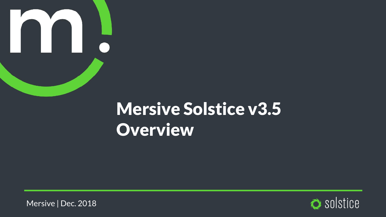

# **Mersive Solstice v3.5 Overview**

Mersive | Dec. 2018

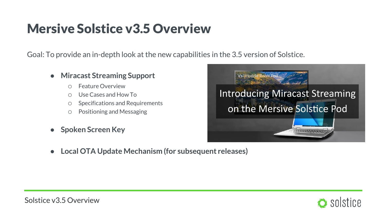### **Mersive Solstice v3.5 Overview**

Goal: To provide an in-depth look at the new capabilities in the 3.5 version of Solstice.

- **Miracast Streaming Support**
	- o Feature Overview
	- o Use Cases and How To
	- o Specifications and Requirements
	- o Positioning and Messaging
- **Spoken Screen Key**



● **Local OTA Update Mechanism (for subsequent releases)**

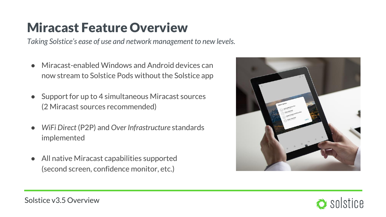### **Miracast Feature Overview**

*Taking Solstice's ease of use and network management to new levels.*

- Miracast-enabled Windows and Android devices can now stream to Solstice Pods without the Solstice app
- Support for up to 4 simultaneous Miracast sources (2 Miracast sources recommended)
- *WiFi Direct* (P2P) and *Over Infrastructure* standards implemented
- All native Miracast capabilities supported (second screen, confidence monitor, etc.)



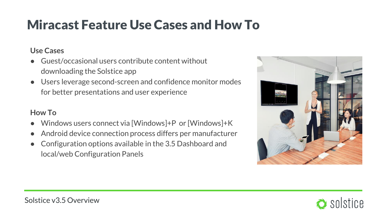## **Miracast Feature Use Cases and How To**

#### **Use Cases**

- Guest/occasional users contribute content without downloading the Solstice app
- Users leverage second-screen and confidence monitor modes for better presentations and user experience

#### **How To**

- Windows users connect via [Windows]+P or [Windows]+K
- Android device connection process differs per manufacturer
- Configuration options available in the 3.5 Dashboard and local/web Configuration Panels



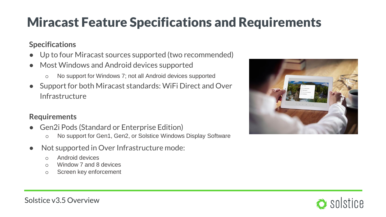## **Miracast Feature Specifications and Requirements**

#### **Specifications**

- Up to four Miracast sources supported (two recommended)
- Most Windows and Android devices supported
	- o No support for Windows 7; not all Android devices supported
- Support for both Miracast standards: WiFi Direct and Over Infrastructure

#### **Requirements**

- Gen2i Pods (Standard or Enterprise Edition)
	- o No support for Gen1, Gen2, or Solstice Windows Display Software
- Not supported in Over Infrastructure mode:
	- o Android devices
	- o Window 7 and 8 devices
	- o Screen key enforcement





Solstice v3.5 Overview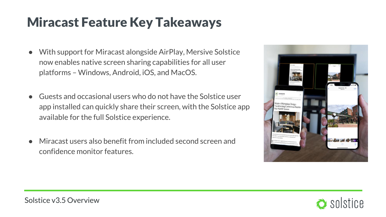### **Miracast Feature Key Takeaways**

- With support for Miracast alongside AirPlay, Mersive Solstice now enables native screen sharing capabilities for all user platforms – Windows, Android, iOS, and MacOS.
- Guests and occasional users who do not have the Solstice user app installed can quickly share their screen, with the Solstice app available for the full Solstice experience.
- Miracast users also benefit from included second screen and confidence monitor features.



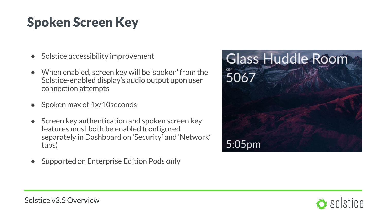## **Spoken Screen Key**

- Solstice accessibility improvement
- When enabled, screen key will be 'spoken' from the Solstice-enabled display's audio output upon user connection attempts
- Spoken max of  $1x/10$ seconds
- **Screen key authentication and spoken screen key** features must both be enabled (configured separately in Dashboard on 'Security' and 'Network' tabs)
- Supported on Enterprise Edition Pods only



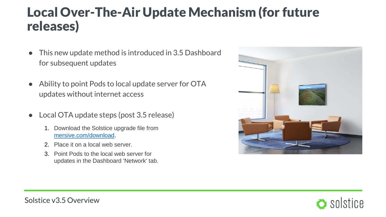### **Local Over-The-Air Update Mechanism (for future releases)**

- This new update method is introduced in 3.5 Dashboard for subsequent updates
- Ability to point Pods to local update server for OTA updates without internet access
- Local OTA update steps (post 3.5 release)
	- 1. Download the Solstice upgrade file from [mersive.com/download](https://www.mersive.com/download/).
	- 2. Place it on a local web server.
	- 3. Point Pods to the local web server for updates in the Dashboard 'Network' tab.